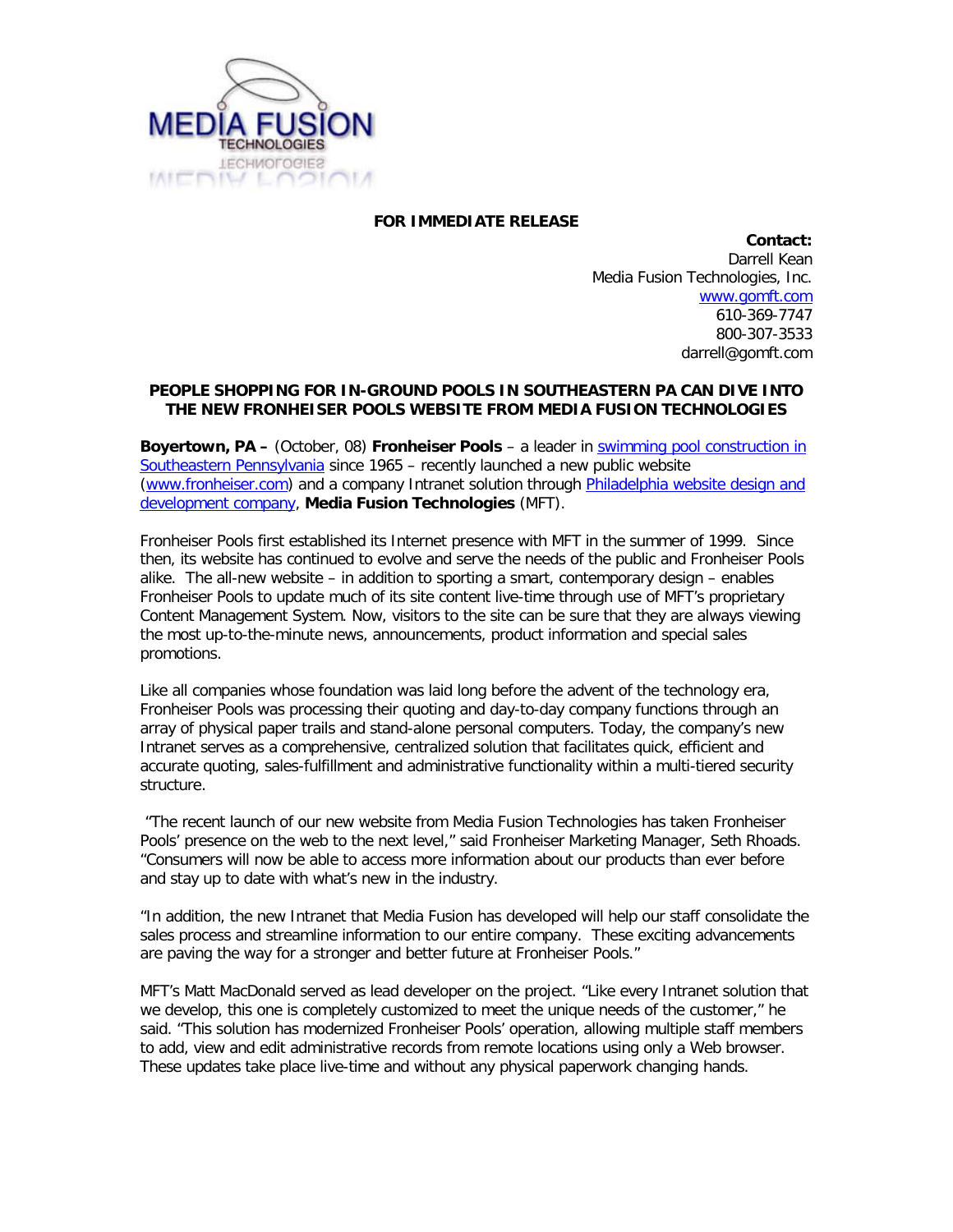

## **FOR IMMEDIATE RELEASE**

**Contact:** Darrell Kean Media Fusion Technologies, Inc. [www.gomft.com](http://www.gomft.com/) 610-369-7747 800-307-3533 darrell@gomft.com

## **PEOPLE SHOPPING FOR IN-GROUND POOLS IN SOUTHEASTERN PA CAN DIVE INTO THE NEW FRONHEISER POOLS WEBSITE FROM MEDIA FUSION TECHNOLOGIES**

**Boyertown, PA –** (October, 08) **Fronheiser Pools** – a leader in [swimming pool construction in](http://www.fronheiser.com/)  [Southeastern Pennsylvania](http://www.fronheiser.com/) since 1965 – recently launched a new public website [\(www.fronheiser.com\)](http://www.fronheiser.com/) and a company Intranet solution through [Philadelphia website design and](http://www.gomft.com/)  [development company,](http://www.gomft.com/) **Media Fusion Technologies** (MFT).

Fronheiser Pools first established its Internet presence with MFT in the summer of 1999. Since then, its website has continued to evolve and serve the needs of the public and Fronheiser Pools alike. The all-new website – in addition to sporting a smart, contemporary design – enables Fronheiser Pools to update much of its site content live-time through use of MFT's proprietary Content Management System. Now, visitors to the site can be sure that they are always viewing the most up-to-the-minute news, announcements, product information and special sales promotions.

Like all companies whose foundation was laid long before the advent of the technology era, Fronheiser Pools was processing their quoting and day-to-day company functions through an array of physical paper trails and stand-alone personal computers. Today, the company's new Intranet serves as a comprehensive, centralized solution that facilitates quick, efficient and accurate quoting, sales-fulfillment and administrative functionality within a multi-tiered security structure.

"The recent launch of our new website from Media Fusion Technologies has taken Fronheiser Pools' presence on the web to the next level," said Fronheiser Marketing Manager, Seth Rhoads. "Consumers will now be able to access more information about our products than ever before and stay up to date with what's new in the industry.

"In addition, the new Intranet that Media Fusion has developed will help our staff consolidate the sales process and streamline information to our entire company. These exciting advancements are paving the way for a stronger and better future at Fronheiser Pools."

MFT's Matt MacDonald served as lead developer on the project. "Like every Intranet solution that we develop, this one is completely customized to meet the unique needs of the customer," he said. "This solution has modernized Fronheiser Pools' operation, allowing multiple staff members to add, view and edit administrative records from remote locations using only a Web browser. These updates take place live-time and without any physical paperwork changing hands.